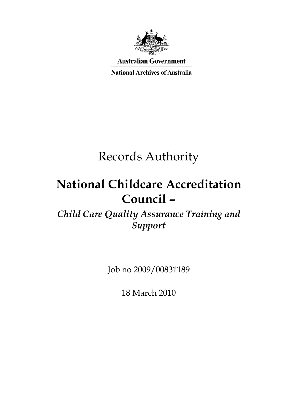

**Australian Government** 

**National Archives of Australia** 

# Records Authority

# **National Childcare Accreditation Council –**

*Child Care Quality Assurance Training and Support*

Job no 2009/00831189

18 March 2010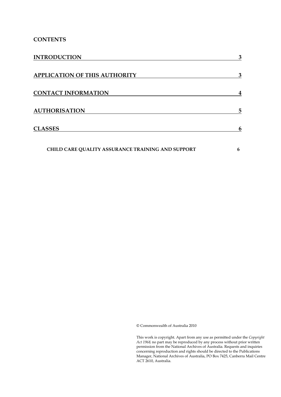## **CONTENTS**

| <b>INTRODUCTION</b>                               | 3 |
|---------------------------------------------------|---|
| <b>APPLICATION OF THIS AUTHORITY</b>              | 3 |
| <b>CONTACT INFORMATION</b>                        | 4 |
| <b>AUTHORISATION</b>                              | 5 |
| <b>CLASSES</b>                                    | 6 |
| CHILD CARE QUALITY ASSURANCE TRAINING AND SUPPORT | 6 |

© Commonwealth of Australia 2010

This work is copyright. Apart from any use as permitted under the *Copyright Act 1968,* no part may be reproduced by any process without prior written permission from the National Archives of Australia. Requests and inquiries concerning reproduction and rights should be directed to the Publications Manager, National Archives of Australia, PO Box 7425, Canberra Mail Centre ACT 2610, Australia.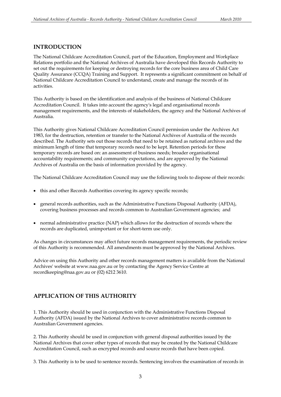#### **INTRODUCTION**

The National Childcare Accreditation Council, part of the Education, Employment and Workplace Relations portfolio and the National Archives of Australia have developed this Records Authority to set out the requirements for keeping or destroying records for the core business area of Child Care Quality Assurance (CCQA) Training and Support. It represents a significant commitment on behalf of National Childcare Accreditation Council to understand, create and manage the records of its activities.

This Authority is based on the identification and analysis of the business of National Childcare Accreditation Council. It takes into account the agency's legal and organisational records management requirements, and the interests of stakeholders, the agency and the National Archives of Australia.

This Authority gives National Childcare Accreditation Council permission under the Archives Act 1983, for the destruction, retention or transfer to the National Archives of Australia of the records described. The Authority sets out those records that need to be retained as national archives and the minimum length of time that temporary records need to be kept. Retention periods for these temporary records are based on: an assessment of business needs; broader organisational accountability requirements; and community expectations, and are approved by the National Archives of Australia on the basis of information provided by the agency.

The National Childcare Accreditation Council may use the following tools to dispose of their records:

- this and other Records Authorities covering its agency specific records;
- general records authorities, such as the Administrative Functions Disposal Authority (AFDA), covering business processes and records common to Australian Government agencies; and
- normal administrative practice (NAP) which allows for the destruction of records where the records are duplicated, unimportant or for short-term use only.

As changes in circumstances may affect future records management requirements, the periodic review of this Authority is recommended. All amendments must be approved by the National Archives.

Advice on using this Authority and other records management matters is available from the National Archives' website at www.naa.gov.au or by contacting the Agency Service Centre at recordkeeping@naa.gov.au or (02) 6212 3610.

## **APPLICATION OF THIS AUTHORITY**

1. This Authority should be used in conjunction with the Administrative Functions Disposal Authority (AFDA) issued by the National Archives to cover administrative records common to Australian Government agencies.

2. This Authority should be used in conjunction with general disposal authorities issued by the National Archives that cover other types of records that may be created by the National Childcare Accreditation Council, such as encrypted records and source records that have been copied.

3. This Authority is to be used to sentence records. Sentencing involves the examination of records in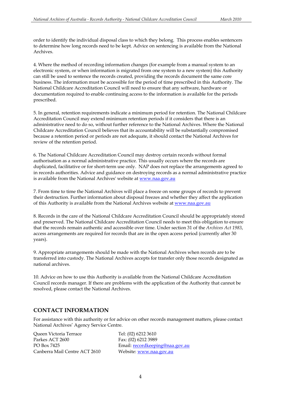order to identify the individual disposal class to which they belong. This process enables sentencers to determine how long records need to be kept. Advice on sentencing is available from the National Archives.

4. Where the method of recording information changes (for example from a manual system to an electronic system, or when information is migrated from one system to a new system) this Authority can still be used to sentence the records created, providing the records document the same core business. The information must be accessible for the period of time prescribed in this Authority. The National Childcare Accreditation Council will need to ensure that any software, hardware or documentation required to enable continuing access to the information is available for the periods prescribed.

5. In general, retention requirements indicate a minimum period for retention. The National Childcare Accreditation Council may extend minimum retention periods if it considers that there is an administrative need to do so, without further reference to the National Archives. Where the National Childcare Accreditation Council believes that its accountability will be substantially compromised because a retention period or periods are not adequate, it should contact the National Archives for review of the retention period.

6. The National Childcare Accreditation Council may destroy certain records without formal authorisation as a normal administrative practice. This usually occurs where the records are duplicated, facilitative or for short-term use only. NAP does not replace the arrangements agreed to in records authorities. Advice and guidance on destroying records as a normal administrative practice is available from the National Archives' website at www.naa.gov.au

7. From time to time the National Archives will place a freeze on some groups of records to prevent their destruction. Further information about disposal freezes and whether they affect the application of this Authority is available from the National Archives website at www.naa.gov.au

8. Records in the care of the National Childcare Accreditation Council should be appropriately stored and preserved. The National Childcare Accreditation Council needs to meet this obligation to ensure that the records remain authentic and accessible over time. Under section 31 of the *Archives Act 1983*, access arrangements are required for records that are in the open access period (currently after 30 years).

9. Appropriate arrangements should be made with the National Archives when records are to be transferred into custody. The National Archives accepts for transfer only those records designated as national archives.

10. Advice on how to use this Authority is available from the National Childcare Accreditation Council records manager. If there are problems with the application of the Authority that cannot be resolved, please contact the National Archives.

## **CONTACT INFORMATION**

For assistance with this authority or for advice on other records management matters, please contact National Archives' Agency Service Centre.

Queen Victoria Terrace Tel: (02) 6212 3610 Parkes ACT 2600 Fax: (02) 6212 3989 Canberra Mail Centre ACT 2610 Website: www.naa.gov.au

PO Box 7425 Email: recordkeeping@naa.gov.au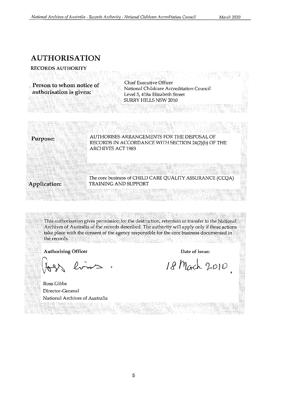# **AUTHORISATION**

**RECORDS AUTHORITY** 

**Person to whom notice of authorisation is given:** 

Chief Executive Officer National Childcare Accreditation Council Level 3, 418a Elizabeth Street SURRY HILLS NSW 2010



This authorisation gives permission for the destruction, retention or transfer to the National Archives of Australia of the records described. The authority will apply only if these actions take place with the consent of the agency responsible for. the core business documented in the records.

Authorising Officer

**Date of issue:** 

18 Mach 2010

Ross Gibbs Director-General National Archives of Australia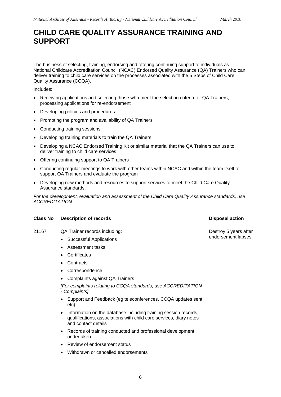# **CHILD CARE QUALITY ASSURANCE TRAINING AND SUPPORT**

The business of selecting, training, endorsing and offering continuing support to individuals as National Childcare Accreditation Council (NCAC) Endorsed Quality Assurance (QA) Trainers who can deliver training to child care services on the processes associated with the 5 Steps of Child Care Quality Assurance (CCQA).

Includes:

- Receiving applications and selecting those who meet the selection criteria for QA Trainers, processing applications for re-endorsement
- Developing policies and procedures
- Promoting the program and availability of QA Trainers
- Conducting training sessions
- Developing training materials to train the QA Trainers
- Developing a NCAC Endorsed Training Kit or similar material that the QA Trainers can use to deliver training to child care services
- Offering continuing support to QA Trainers
- Conducting regular meetings to work with other teams within NCAC and within the team itself to support QA Trainers and evaluate the program
- Developing new methods and resources to support services to meet the Child Care Quality Assurance standards.

*For the development, evaluation and assessment of the Child Care Quality Assurance standards, use ACCREDITATION.* 

#### **Class No Description of records Class Action Action Action Action Action Action Action Action Action Action Action Action Action Action Action Action Action Action Action Action Action Action Action Action Action Action A**

- 21167 QA Trainer records including:
	- Successful Applications
	- Assessment tasks
	- Certificates
	- Contracts
	- Correspondence
	- Complaints against QA Trainers

*[For complaints relating to CCQA standards, use ACCREDITATION - Complaints]* 

- Support and Feedback (eg teleconferences, CCQA updates sent, etc)
- Information on the database including training session records, qualifications, associations with child care services, diary notes and contact details
- Records of training conducted and professional development undertaken
- Review of endorsement status
- Withdrawn or cancelled endorsements

Destroy 5 years after endorsement lapses